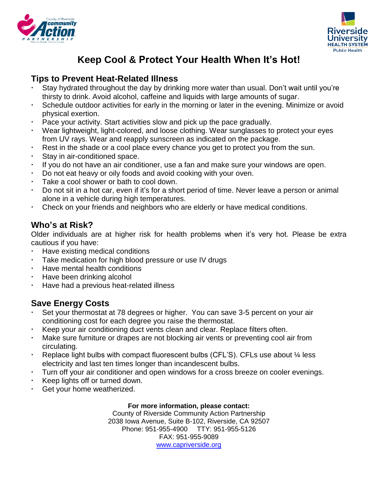



# **Keep Cool & Protect Your Health When It's Hot!**

## **Tips to Prevent Heat-Related Illness**

- Stay hydrated throughout the day by drinking more water than usual. Don't wait until you're thirsty to drink. Avoid alcohol, caffeine and liquids with large amounts of sugar.
- Schedule outdoor activities for early in the morning or later in the evening. Minimize or avoid physical exertion.
- Pace your activity. Start activities slow and pick up the pace gradually.
- Wear lightweight, light-colored, and loose clothing. Wear sunglasses to protect your eyes from UV rays. Wear and reapply sunscreen as indicated on the package.
- Rest in the shade or a cool place every chance you get to protect you from the sun.
- Stay in air-conditioned space.
- If you do not have an air conditioner, use a fan and make sure your windows are open.
- Do not eat heavy or oily foods and avoid cooking with your oven.
- Take a cool shower or bath to cool down.
- Do not sit in a hot car, even if it's for a short period of time. Never leave a person or animal alone in a vehicle during high temperatures.
- Check on your friends and neighbors who are elderly or have medical conditions.

# **Who's at Risk?**

Older individuals are at higher risk for health problems when it's very hot. Please be extra cautious if you have:

- Have existing medical conditions
- Take medication for high blood pressure or use IV drugs
- Have mental health conditions
- Have been drinking alcohol
- Have had a previous heat-related illness

# **Save Energy Costs**

- Set your thermostat at 78 degrees or higher. You can save 3-5 percent on your air conditioning cost for each degree you raise the thermostat.
- Keep your air conditioning duct vents clean and clear. Replace filters often.
- Make sure furniture or drapes are not blocking air vents or preventing cool air from circulating.
- Replace light bulbs with compact fluorescent bulbs (CFL'S). CFLs use about  $\frac{1}{4}$  less electricity and last ten times longer than incandescent bulbs.
- Turn off your air conditioner and open windows for a cross breeze on cooler evenings.
- Keep lights off or turned down.
- Get your home weatherized.

#### **For more information, please contact:**

County of Riverside Community Action Partnership 2038 Iowa Avenue, Suite B-102, Riverside, CA 92507 Phone: 951-955-4900 TTY: 951-955-5126 FAX: 951-955-9089 [www.capriverside.org](http://www.capriverside.org/)